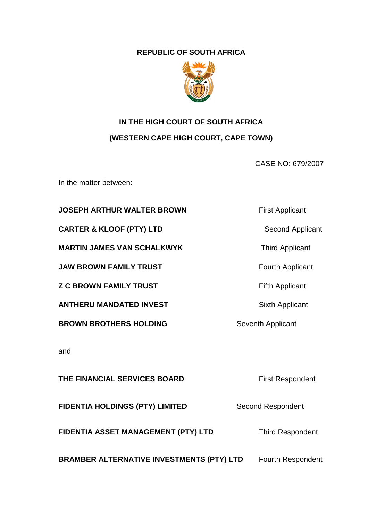### **REPUBLIC OF SOUTH AFRICA**



# **IN THE HIGH COURT OF SOUTH AFRICA (WESTERN CAPE HIGH COURT, CAPE TOWN)**

CASE NO: 679/2007

In the matter between:

### **JOSEPH ARTHUR WALTER BROWN First Applicant**

**CARTER & KLOOF (PTY) LTD** Second Applicant

**MARTIN JAMES VAN SCHALKWYK** Third Applicant

**JAW BROWN FAMILY TRUST TEXAS Fourth Applicant** 

**Z C BROWN FAMILY TRUST Example 2 C BROWN FAMILY TRUST** 

**ANTHERU MANDATED INVEST** Sixth Applicant

**BROWN BROTHERS HOLDING** Seventh Applicant

and

**THE FINANCIAL SERVICES BOARD First Respondent FIDENTIA HOLDINGS (PTY) LIMITED** Second Respondent **FIDENTIA ASSET MANAGEMENT (PTY) LTD** Third Respondent **BRAMBER ALTERNATIVE INVESTMENTS (PTY) LTD** Fourth Respondent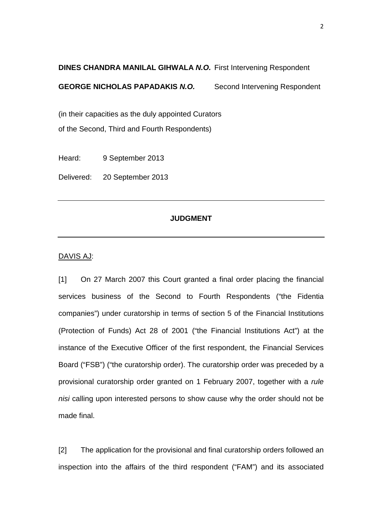## **DINES CHANDRA MANILAL GIHWALA N.O.** First Intervening Respondent **GEORGE NICHOLAS PAPADAKIS N.O.** Second Intervening Respondent

(in their capacities as the duly appointed Curators of the Second, Third and Fourth Respondents)

Heard: 9 September 2013

Delivered: 20 September 2013

#### **JUDGMENT**

#### DAVIS AJ:

[1] On 27 March 2007 this Court granted a final order placing the financial services business of the Second to Fourth Respondents ("the Fidentia companies") under curatorship in terms of section 5 of the Financial Institutions (Protection of Funds) Act 28 of 2001 ("the Financial Institutions Act") at the instance of the Executive Officer of the first respondent, the Financial Services Board ("FSB") ("the curatorship order). The curatorship order was preceded by a provisional curatorship order granted on 1 February 2007, together with a rule nisi calling upon interested persons to show cause why the order should not be made final.

[2] The application for the provisional and final curatorship orders followed an inspection into the affairs of the third respondent ("FAM") and its associated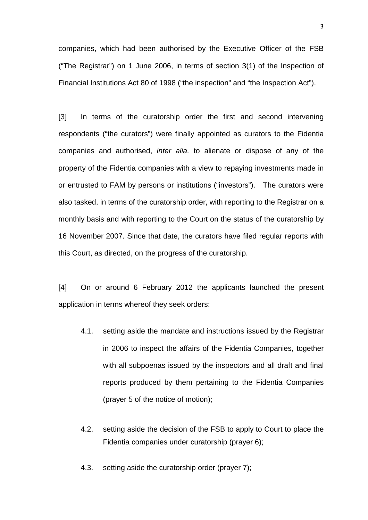companies, which had been authorised by the Executive Officer of the FSB ("The Registrar") on 1 June 2006, in terms of section 3(1) of the Inspection of Financial Institutions Act 80 of 1998 ("the inspection" and "the Inspection Act").

[3] In terms of the curatorship order the first and second intervening respondents ("the curators") were finally appointed as curators to the Fidentia companies and authorised, inter alia, to alienate or dispose of any of the property of the Fidentia companies with a view to repaying investments made in or entrusted to FAM by persons or institutions ("investors"). The curators were also tasked, in terms of the curatorship order, with reporting to the Registrar on a monthly basis and with reporting to the Court on the status of the curatorship by 16 November 2007. Since that date, the curators have filed regular reports with this Court, as directed, on the progress of the curatorship.

[4] On or around 6 February 2012 the applicants launched the present application in terms whereof they seek orders:

- 4.1. setting aside the mandate and instructions issued by the Registrar in 2006 to inspect the affairs of the Fidentia Companies, together with all subpoenas issued by the inspectors and all draft and final reports produced by them pertaining to the Fidentia Companies (prayer 5 of the notice of motion);
- 4.2. setting aside the decision of the FSB to apply to Court to place the Fidentia companies under curatorship (prayer 6);

4.3. setting aside the curatorship order (prayer 7);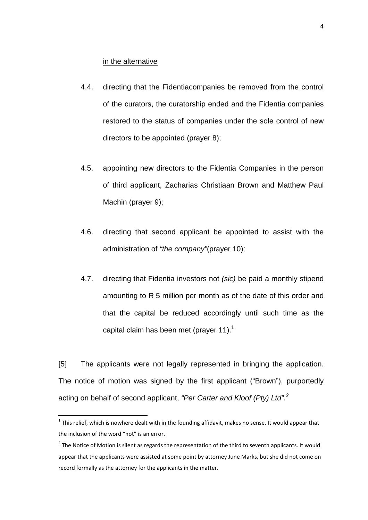#### in the alternative

- 4.4. directing that the Fidentiacompanies be removed from the control of the curators, the curatorship ended and the Fidentia companies restored to the status of companies under the sole control of new directors to be appointed (prayer 8);
- 4.5. appointing new directors to the Fidentia Companies in the person of third applicant, Zacharias Christiaan Brown and Matthew Paul Machin (prayer 9);
- 4.6. directing that second applicant be appointed to assist with the administration of "the company"(prayer 10);
- 4.7. directing that Fidentia investors not (sic) be paid a monthly stipend amounting to R 5 million per month as of the date of this order and that the capital be reduced accordingly until such time as the capital claim has been met (prayer 11).<sup>1</sup>

[5] The applicants were not legally represented in bringing the application. The notice of motion was signed by the first applicant ("Brown"), purportedly acting on behalf of second applicant, "Per Carter and Kloof (Pty) Ltd".<sup>2</sup>

 $^1$  This relief, which is nowhere dealt with in the founding affidavit, makes no sense. It would appear that the inclusion of the word "not" is an error.

 $2$  The Notice of Motion is silent as regards the representation of the third to seventh applicants. It would appear that the applicants were assisted at some point by attorney June Marks, but she did not come on record formally as the attorney for the applicants in the matter.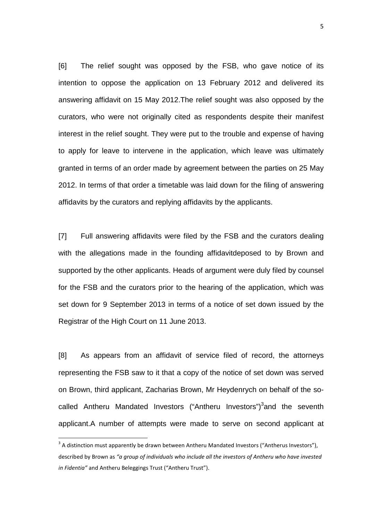[6] The relief sought was opposed by the FSB, who gave notice of its intention to oppose the application on 13 February 2012 and delivered its answering affidavit on 15 May 2012.The relief sought was also opposed by the curators, who were not originally cited as respondents despite their manifest interest in the relief sought. They were put to the trouble and expense of having to apply for leave to intervene in the application, which leave was ultimately granted in terms of an order made by agreement between the parties on 25 May 2012. In terms of that order a timetable was laid down for the filing of answering affidavits by the curators and replying affidavits by the applicants.

[7] Full answering affidavits were filed by the FSB and the curators dealing with the allegations made in the founding affidavitdeposed to by Brown and supported by the other applicants. Heads of argument were duly filed by counsel for the FSB and the curators prior to the hearing of the application, which was set down for 9 September 2013 in terms of a notice of set down issued by the Registrar of the High Court on 11 June 2013.

[8] As appears from an affidavit of service filed of record, the attorneys representing the FSB saw to it that a copy of the notice of set down was served on Brown, third applicant, Zacharias Brown, Mr Heydenrych on behalf of the socalled Antheru Mandated Investors ("Antheru Investors")<sup>3</sup>and the seventh applicant.A number of attempts were made to serve on second applicant at

 $\overline{a}$ 

 $3$  A distinction must apparently be drawn between Antheru Mandated Investors ("Antherus Investors"), described by Brown as *"a group of individuals who include all the investors of Antheru who have invested in Fidentia"* and Antheru Beleggings Trust ("Antheru Trust").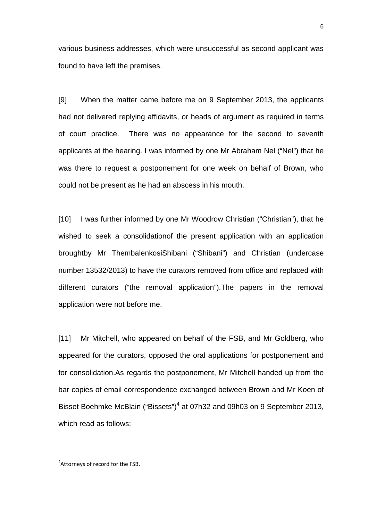various business addresses, which were unsuccessful as second applicant was found to have left the premises.

[9] When the matter came before me on 9 September 2013, the applicants had not delivered replying affidavits, or heads of argument as required in terms of court practice. There was no appearance for the second to seventh applicants at the hearing. I was informed by one Mr Abraham Nel ("Nel") that he was there to request a postponement for one week on behalf of Brown, who could not be present as he had an abscess in his mouth.

[10] I was further informed by one Mr Woodrow Christian ("Christian"), that he wished to seek a consolidationof the present application with an application broughtby Mr ThembalenkosiShibani ("Shibani") and Christian (undercase number 13532/2013) to have the curators removed from office and replaced with different curators ("the removal application").The papers in the removal application were not before me.

[11] Mr Mitchell, who appeared on behalf of the FSB, and Mr Goldberg, who appeared for the curators, opposed the oral applications for postponement and for consolidation.As regards the postponement, Mr Mitchell handed up from the bar copies of email correspondence exchanged between Brown and Mr Koen of Bisset Boehmke McBlain ("Bissets")<sup>4</sup> at 07h32 and 09h03 on 9 September 2013, which read as follows:

 $\overline{\phantom{0}}$ 

<sup>&</sup>lt;sup>4</sup>Attorneys of record for the FSB.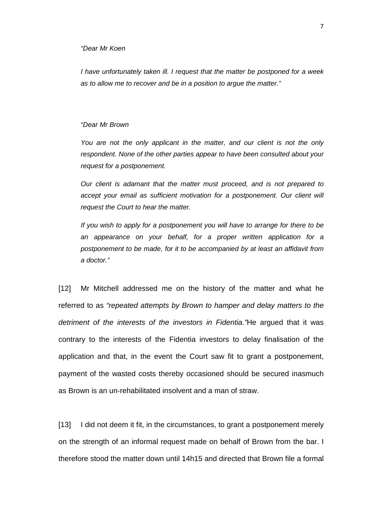#### "Dear Mr Koen

I have unfortunately taken ill. I request that the matter be postponed for a week as to allow me to recover and be in a position to argue the matter."

#### "Dear Mr Brown

You are not the only applicant in the matter, and our client is not the only respondent. None of the other parties appear to have been consulted about your request for a postponement.

Our client is adamant that the matter must proceed, and is not prepared to accept your email as sufficient motivation for a postponement. Our client will request the Court to hear the matter.

If you wish to apply for a postponement you will have to arrange for there to be an appearance on your behalf, for a proper written application for a postponement to be made, for it to be accompanied by at least an affidavit from a doctor."

[12] Mr Mitchell addressed me on the history of the matter and what he referred to as "repeated attempts by Brown to hamper and delay matters to the detriment of the interests of the investors in Fidentia. He argued that it was contrary to the interests of the Fidentia investors to delay finalisation of the application and that, in the event the Court saw fit to grant a postponement, payment of the wasted costs thereby occasioned should be secured inasmuch as Brown is an un-rehabilitated insolvent and a man of straw.

[13] I did not deem it fit, in the circumstances, to grant a postponement merely on the strength of an informal request made on behalf of Brown from the bar. I therefore stood the matter down until 14h15 and directed that Brown file a formal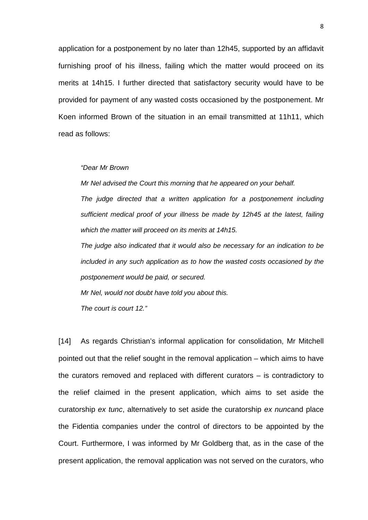application for a postponement by no later than 12h45, supported by an affidavit furnishing proof of his illness, failing which the matter would proceed on its merits at 14h15. I further directed that satisfactory security would have to be provided for payment of any wasted costs occasioned by the postponement. Mr Koen informed Brown of the situation in an email transmitted at 11h11, which read as follows:

#### "Dear Mr Brown

Mr Nel advised the Court this morning that he appeared on your behalf.

The judge directed that a written application for a postponement including sufficient medical proof of your illness be made by 12h45 at the latest, failing which the matter will proceed on its merits at 14h15.

The judge also indicated that it would also be necessary for an indication to be included in any such application as to how the wasted costs occasioned by the postponement would be paid, or secured.

Mr Nel, would not doubt have told you about this.

The court is court 12."

[14] As regards Christian's informal application for consolidation, Mr Mitchell pointed out that the relief sought in the removal application – which aims to have the curators removed and replaced with different curators – is contradictory to the relief claimed in the present application, which aims to set aside the curatorship ex tunc, alternatively to set aside the curatorship ex nuncand place the Fidentia companies under the control of directors to be appointed by the Court. Furthermore, I was informed by Mr Goldberg that, as in the case of the present application, the removal application was not served on the curators, who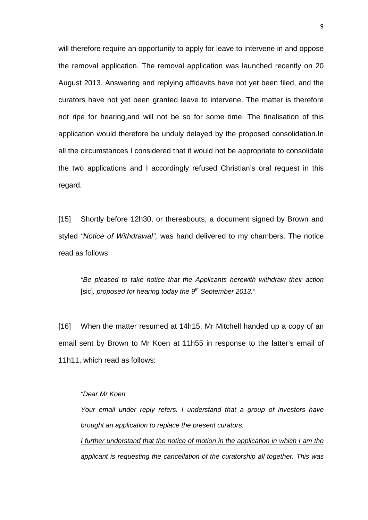will therefore require an opportunity to apply for leave to intervene in and oppose the removal application. The removal application was launched recently on 20 August 2013. Answering and replying affidavits have not yet been filed, and the curators have not yet been granted leave to intervene. The matter is therefore not ripe for hearing,and will not be so for some time. The finalisation of this application would therefore be unduly delayed by the proposed consolidation.In all the circumstances I considered that it would not be appropriate to consolidate the two applications and I accordingly refused Christian's oral request in this regard.

[15] Shortly before 12h30, or thereabouts, a document signed by Brown and styled "Notice of Withdrawal", was hand delivered to my chambers. The notice read as follows:

"Be pleased to take notice that the Applicants herewith withdraw their action [sic], proposed for hearing today the  $9<sup>th</sup>$  September 2013."

[16] When the matter resumed at 14h15, Mr Mitchell handed up a copy of an email sent by Brown to Mr Koen at 11h55 in response to the latter's email of 11h11, which read as follows:

#### "Dear Mr Koen

Your email under reply refers. I understand that a group of investors have brought an application to replace the present curators.

I further understand that the notice of motion in the application in which I am the applicant is requesting the cancellation of the curatorship all together. This was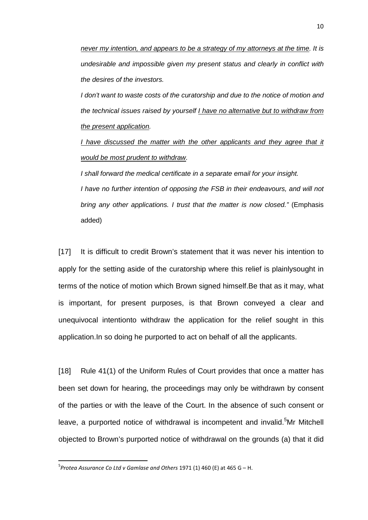never my intention, and appears to be a strategy of my attorneys at the time. It is undesirable and impossible given my present status and clearly in conflict with the desires of the investors.

I don't want to waste costs of the curatorship and due to the notice of motion and the technical issues raised by yourself I have no alternative but to withdraw from the present application.

I have discussed the matter with the other applicants and they agree that it would be most prudent to withdraw.

I shall forward the medical certificate in a separate email for your insight. I have no further intention of opposing the FSB in their endeavours, and will not bring any other applications. I trust that the matter is now closed." (Emphasis added)

[17] It is difficult to credit Brown's statement that it was never his intention to apply for the setting aside of the curatorship where this relief is plainlysought in terms of the notice of motion which Brown signed himself.Be that as it may, what is important, for present purposes, is that Brown conveyed a clear and unequivocal intentionto withdraw the application for the relief sought in this application.In so doing he purported to act on behalf of all the applicants.

[18] Rule 41(1) of the Uniform Rules of Court provides that once a matter has been set down for hearing, the proceedings may only be withdrawn by consent of the parties or with the leave of the Court. In the absence of such consent or leave, a purported notice of withdrawal is incompetent and invalid.<sup>5</sup>Mr Mitchell objected to Brown's purported notice of withdrawal on the grounds (a) that it did

<sup>&</sup>lt;sup>5</sup> Protea Assurance Co Ltd v Gamlase and Others 1971 (1) 460 (E) at 465 G – H.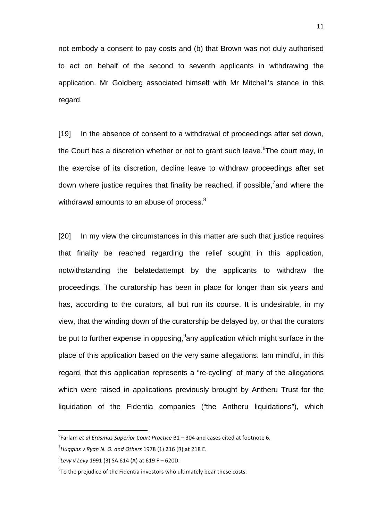not embody a consent to pay costs and (b) that Brown was not duly authorised to act on behalf of the second to seventh applicants in withdrawing the application. Mr Goldberg associated himself with Mr Mitchell's stance in this regard.

[19] In the absence of consent to a withdrawal of proceedings after set down, the Court has a discretion whether or not to grant such leave.<sup>6</sup>The court may, in the exercise of its discretion, decline leave to withdraw proceedings after set down where justice requires that finality be reached, if possible,<sup>7</sup>and where the withdrawal amounts to an abuse of process.<sup>8</sup>

[20] In my view the circumstances in this matter are such that justice requires that finality be reached regarding the relief sought in this application, notwithstanding the belatedattempt by the applicants to withdraw the proceedings. The curatorship has been in place for longer than six years and has, according to the curators, all but run its course. It is undesirable, in my view, that the winding down of the curatorship be delayed by, or that the curators be put to further expense in opposing, any application which might surface in the place of this application based on the very same allegations. Iam mindful, in this regard, that this application represents a "re-cycling" of many of the allegations which were raised in applications previously brought by Antheru Trust for the liquidation of the Fidentia companies ("the Antheru liquidations"), which

<sup>6</sup> Farlam *et al Erasmus Superior Court Practice* B1 – 304 and cases cited at footnote 6.

<sup>7</sup> *Huggins v Ryan N. O. and Others* 1978 (1) 216 (R) at 218 E.

<sup>8</sup> *Levy v Levy* 1991 (3) SA 614 (A) at 619 F – 620D.

 $9$ To the prejudice of the Fidentia investors who ultimately bear these costs.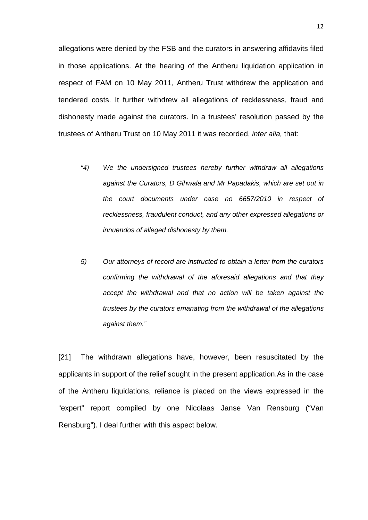allegations were denied by the FSB and the curators in answering affidavits filed in those applications. At the hearing of the Antheru liquidation application in respect of FAM on 10 May 2011, Antheru Trust withdrew the application and tendered costs. It further withdrew all allegations of recklessness, fraud and dishonesty made against the curators. In a trustees' resolution passed by the trustees of Antheru Trust on 10 May 2011 it was recorded, inter alia, that:

- "4) We the undersigned trustees hereby further withdraw all allegations against the Curators, D Gihwala and Mr Papadakis, which are set out in the court documents under case no 6657/2010 in respect of recklessness, fraudulent conduct, and any other expressed allegations or innuendos of alleged dishonesty by them.
- 5) Our attorneys of record are instructed to obtain a letter from the curators confirming the withdrawal of the aforesaid allegations and that they accept the withdrawal and that no action will be taken against the trustees by the curators emanating from the withdrawal of the allegations against them."

[21] The withdrawn allegations have, however, been resuscitated by the applicants in support of the relief sought in the present application.As in the case of the Antheru liquidations, reliance is placed on the views expressed in the "expert" report compiled by one Nicolaas Janse Van Rensburg ("Van Rensburg"). I deal further with this aspect below.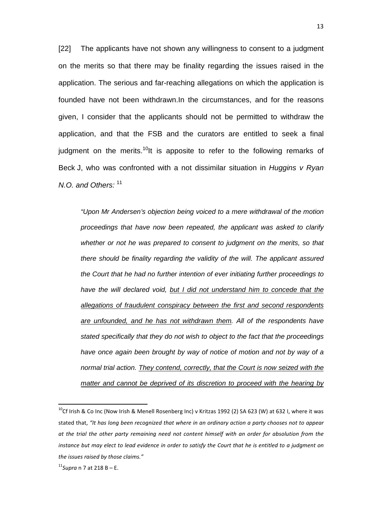[22] The applicants have not shown any willingness to consent to a judgment on the merits so that there may be finality regarding the issues raised in the application. The serious and far-reaching allegations on which the application is founded have not been withdrawn.In the circumstances, and for the reasons given, I consider that the applicants should not be permitted to withdraw the application, and that the FSB and the curators are entitled to seek a final judgment on the merits.<sup>10</sup>It is apposite to refer to the following remarks of Beck J, who was confronted with a not dissimilar situation in Huggins  $v$  Ryan N.O. and Others:  $11$ 

"Upon Mr Andersen's objection being voiced to a mere withdrawal of the motion proceedings that have now been repeated, the applicant was asked to clarify whether or not he was prepared to consent to judgment on the merits, so that there should be finality regarding the validity of the will. The applicant assured the Court that he had no further intention of ever initiating further proceedings to have the will declared void, but I did not understand him to concede that the allegations of fraudulent conspiracy between the first and second respondents are unfounded, and he has not withdrawn them. All of the respondents have stated specifically that they do not wish to object to the fact that the proceedings have once again been brought by way of notice of motion and not by way of a normal trial action. They contend, correctly, that the Court is now seized with the matter and cannot be deprived of its discretion to proceed with the hearing by

 $^{10}$ Cf Irish & Co Inc (Now Irish & Menell Rosenberg Inc) v Kritzas 1992 (2) SA 623 (W) at 632 I, where it was stated that, *"It has long been recognized that where in an ordinary action a party chooses not to appear at the trial the other party remaining need not content himself with an order for absolution from the instance but may elect to lead evidence in order to satisfy the Court that he is entitled to a judgment on the issues raised by those claims."* 

<sup>11</sup>*Supra* n 7 at 218 B – E.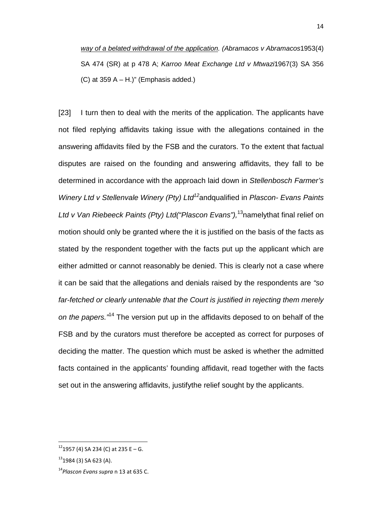way of a belated withdrawal of the application. (Abramacos v Abramacos1953(4) SA 474 (SR) at p 478 A; Karroo Meat Exchange Ltd v Mtwazi1967(3) SA 356  $(C)$  at 359 A – H.)" (Emphasis added.)

[23] I turn then to deal with the merits of the application. The applicants have not filed replying affidavits taking issue with the allegations contained in the answering affidavits filed by the FSB and the curators. To the extent that factual disputes are raised on the founding and answering affidavits, they fall to be determined in accordance with the approach laid down in Stellenbosch Farmer's Winery Ltd v Stellenvale Winery (Pty) Ltd<sup>12</sup>andqualified in Plascon- Evans Paints Ltd v Van Riebeeck Paints (Pty) Ltd ("Plascon Evans"),  $13$ namelythat final relief on motion should only be granted where the it is justified on the basis of the facts as stated by the respondent together with the facts put up the applicant which are either admitted or cannot reasonably be denied. This is clearly not a case where it can be said that the allegations and denials raised by the respondents are "so far-fetched or clearly untenable that the Court is justified in rejecting them merely on the papers.<sup>"14</sup> The version put up in the affidavits deposed to on behalf of the FSB and by the curators must therefore be accepted as correct for purposes of deciding the matter. The question which must be asked is whether the admitted facts contained in the applicants' founding affidavit, read together with the facts set out in the answering affidavits, justifythe relief sought by the applicants.

 $\overline{\phantom{0}}$ 

 $12$ 1957 (4) SA 234 (C) at 235 E – G.

 $13$ 1984 (3) SA 623 (A).

<sup>14</sup>*Plascon Evans supra* n 13 at 635 C.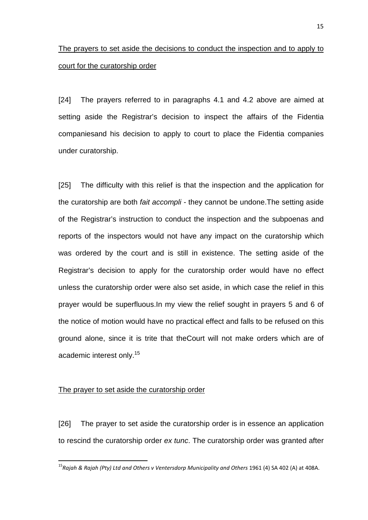### The prayers to set aside the decisions to conduct the inspection and to apply to court for the curatorship order

[24] The prayers referred to in paragraphs 4.1 and 4.2 above are aimed at setting aside the Registrar's decision to inspect the affairs of the Fidentia companiesand his decision to apply to court to place the Fidentia companies under curatorship.

[25] The difficulty with this relief is that the inspection and the application for the curatorship are both fait accompli - they cannot be undone.The setting aside of the Registrar's instruction to conduct the inspection and the subpoenas and reports of the inspectors would not have any impact on the curatorship which was ordered by the court and is still in existence. The setting aside of the Registrar's decision to apply for the curatorship order would have no effect unless the curatorship order were also set aside, in which case the relief in this prayer would be superfluous.In my view the relief sought in prayers 5 and 6 of the notice of motion would have no practical effect and falls to be refused on this ground alone, since it is trite that theCourt will not make orders which are of academic interest only.<sup>15</sup>

#### The prayer to set aside the curatorship order

l

[26] The prayer to set aside the curatorship order is in essence an application to rescind the curatorship order ex tunc. The curatorship order was granted after

<sup>&</sup>lt;sup>15</sup> Raiah & Raiah (Pty) Ltd and Others v Ventersdorp Municipality and Others 1961 (4) SA 402 (A) at 408A.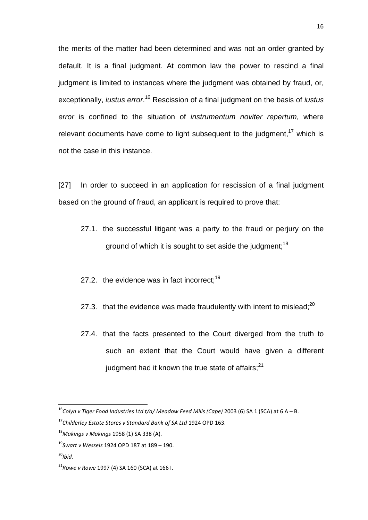the merits of the matter had been determined and was not an order granted by default. It is a final judgment. At common law the power to rescind a final judgment is limited to instances where the judgment was obtained by fraud, or, exceptionally, *iustus error*.<sup>16</sup> Rescission of a final judgment on the basis of *iustus* error is confined to the situation of *instrumentum noviter repertum*, where relevant documents have come to light subsequent to the judgment,  $17$  which is not the case in this instance.

[27] In order to succeed in an application for rescission of a final judgment based on the ground of fraud, an applicant is required to prove that:

- 27.1. the successful litigant was a party to the fraud or perjury on the ground of which it is sought to set aside the judgment;<sup>18</sup>
- 27.2. the evidence was in fact incorrect: $19$
- 27.3. that the evidence was made fraudulently with intent to mislead: $^{20}$
- 27.4. that the facts presented to the Court diverged from the truth to such an extent that the Court would have given a different judgment had it known the true state of affairs; $^{21}$

<sup>16</sup>*Colyn v Tiger Food Industries Ltd t/a/ Meadow Feed Mills (Cape)* 2003 (6) SA 1 (SCA) at 6 A – B.

<sup>17</sup>*Childerley Estate Stores v Standard Bank of SA Ltd* 1924 OPD 163.

<sup>18</sup>*Makings v Makings* 1958 (1) SA 338 (A).

<sup>19</sup>*Swart v Wessels* 1924 OPD 187 at 189 – 190.

<sup>20</sup>*Ibid.* 

<sup>21</sup>*Rowe v Rowe* 1997 (4) SA 160 (SCA) at 166 I.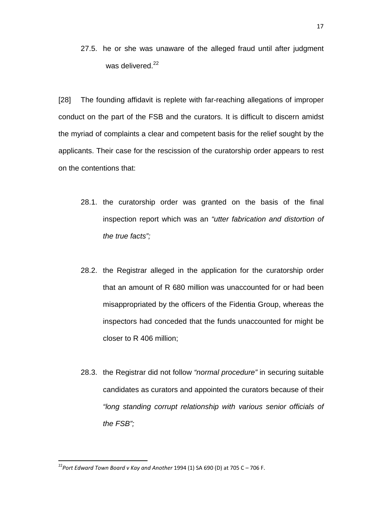27.5. he or she was unaware of the alleged fraud until after judgment was delivered.<sup>22</sup>

[28] The founding affidavit is replete with far-reaching allegations of improper conduct on the part of the FSB and the curators. It is difficult to discern amidst the myriad of complaints a clear and competent basis for the relief sought by the applicants. Their case for the rescission of the curatorship order appears to rest on the contentions that:

- 28.1. the curatorship order was granted on the basis of the final inspection report which was an "utter fabrication and distortion of the true facts";
- 28.2. the Registrar alleged in the application for the curatorship order that an amount of R 680 million was unaccounted for or had been misappropriated by the officers of the Fidentia Group, whereas the inspectors had conceded that the funds unaccounted for might be closer to R 406 million;
- 28.3. the Registrar did not follow "normal procedure" in securing suitable candidates as curators and appointed the curators because of their "long standing corrupt relationship with various senior officials of the FSB";

<sup>22</sup>*Port Edward Town Board v Kay and Another* 1994 (1) SA 690 (D) at 705 C – 706 F.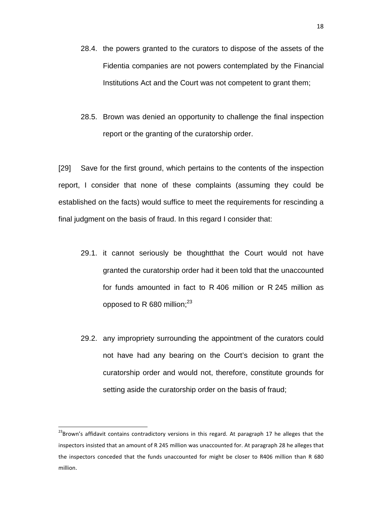- 28.4. the powers granted to the curators to dispose of the assets of the Fidentia companies are not powers contemplated by the Financial Institutions Act and the Court was not competent to grant them;
- 28.5. Brown was denied an opportunity to challenge the final inspection report or the granting of the curatorship order.

[29] Save for the first ground, which pertains to the contents of the inspection report, I consider that none of these complaints (assuming they could be established on the facts) would suffice to meet the requirements for rescinding a final judgment on the basis of fraud. In this regard I consider that:

- 29.1. it cannot seriously be thoughtthat the Court would not have granted the curatorship order had it been told that the unaccounted for funds amounted in fact to R 406 million or R 245 million as opposed to R 680 million; $^{23}$
- 29.2. any impropriety surrounding the appointment of the curators could not have had any bearing on the Court's decision to grant the curatorship order and would not, therefore, constitute grounds for setting aside the curatorship order on the basis of fraud;

<sup>&</sup>lt;sup>23</sup>Brown's affidavit contains contradictory versions in this regard. At paragraph 17 he alleges that the inspectors insisted that an amount of R 245 million was unaccounted for. At paragraph 28 he alleges that the inspectors conceded that the funds unaccounted for might be closer to R406 million than R 680 million.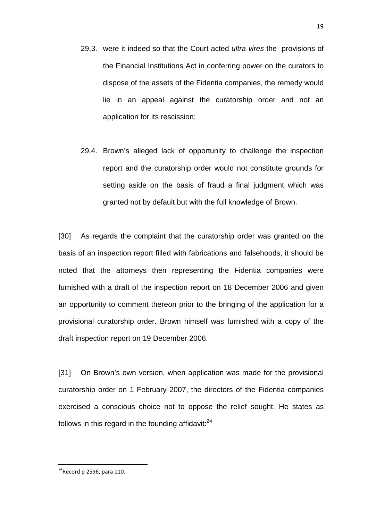- 29.3. were it indeed so that the Court acted *ultra vires* the provisions of the Financial Institutions Act in conferring power on the curators to dispose of the assets of the Fidentia companies, the remedy would lie in an appeal against the curatorship order and not an application for its rescission;
- 29.4. Brown's alleged lack of opportunity to challenge the inspection report and the curatorship order would not constitute grounds for setting aside on the basis of fraud a final judgment which was granted not by default but with the full knowledge of Brown.

[30] As regards the complaint that the curatorship order was granted on the basis of an inspection report filled with fabrications and falsehoods, it should be noted that the attorneys then representing the Fidentia companies were furnished with a draft of the inspection report on 18 December 2006 and given an opportunity to comment thereon prior to the bringing of the application for a provisional curatorship order. Brown himself was furnished with a copy of the draft inspection report on 19 December 2006.

[31] On Brown's own version, when application was made for the provisional curatorship order on 1 February 2007, the directors of the Fidentia companies exercised a conscious choice not to oppose the relief sought. He states as follows in this regard in the founding affidavit: $^{24}$ 

 $\overline{a}$ 

 $24$ Record p 2596, para 110.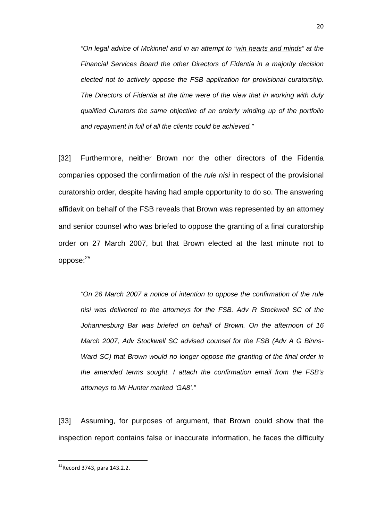"On legal advice of Mckinnel and in an attempt to "win hearts and minds" at the Financial Services Board the other Directors of Fidentia in a majority decision elected not to actively oppose the FSB application for provisional curatorship. The Directors of Fidentia at the time were of the view that in working with duly qualified Curators the same objective of an orderly winding up of the portfolio and repayment in full of all the clients could be achieved."

[32] Furthermore, neither Brown nor the other directors of the Fidentia companies opposed the confirmation of the *rule nisi* in respect of the provisional curatorship order, despite having had ample opportunity to do so. The answering affidavit on behalf of the FSB reveals that Brown was represented by an attorney and senior counsel who was briefed to oppose the granting of a final curatorship order on 27 March 2007, but that Brown elected at the last minute not to oppose:<sup>25</sup>

"On 26 March 2007 a notice of intention to oppose the confirmation of the rule nisi was delivered to the attorneys for the FSB. Adv R Stockwell SC of the Johannesburg Bar was briefed on behalf of Brown. On the afternoon of 16 March 2007, Adv Stockwell SC advised counsel for the FSB (Adv A G Binns-Ward SC) that Brown would no longer oppose the granting of the final order in the amended terms sought. I attach the confirmation email from the FSB's attorneys to Mr Hunter marked 'GA8'."

[33] Assuming, for purposes of argument, that Brown could show that the inspection report contains false or inaccurate information, he faces the difficulty

<sup>&</sup>lt;sup>25</sup> Record 3743, para 143.2.2.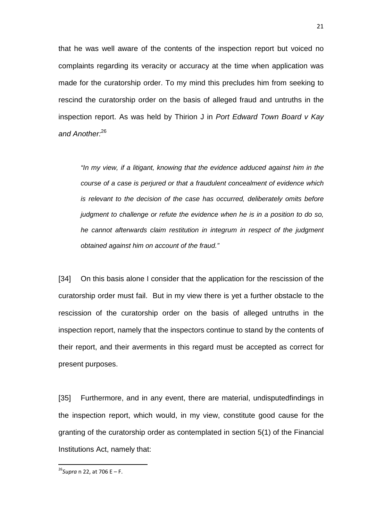that he was well aware of the contents of the inspection report but voiced no complaints regarding its veracity or accuracy at the time when application was made for the curatorship order. To my mind this precludes him from seeking to rescind the curatorship order on the basis of alleged fraud and untruths in the inspection report. As was held by Thirion J in Port Edward Town Board v Kay and Another.<sup>26</sup>

"In my view, if a litigant, knowing that the evidence adduced against him in the course of a case is perjured or that a fraudulent concealment of evidence which is relevant to the decision of the case has occurred, deliberately omits before judgment to challenge or refute the evidence when he is in a position to do so, he cannot afterwards claim restitution in integrum in respect of the judgment obtained against him on account of the fraud."

[34] On this basis alone I consider that the application for the rescission of the curatorship order must fail. But in my view there is yet a further obstacle to the rescission of the curatorship order on the basis of alleged untruths in the inspection report, namely that the inspectors continue to stand by the contents of their report, and their averments in this regard must be accepted as correct for present purposes.

[35] Furthermore, and in any event, there are material, undisputedfindings in the inspection report, which would, in my view, constitute good cause for the granting of the curatorship order as contemplated in section 5(1) of the Financial Institutions Act, namely that:

 $\overline{a}$ 

<sup>26</sup>*Supra* n 22, at 706 E – F.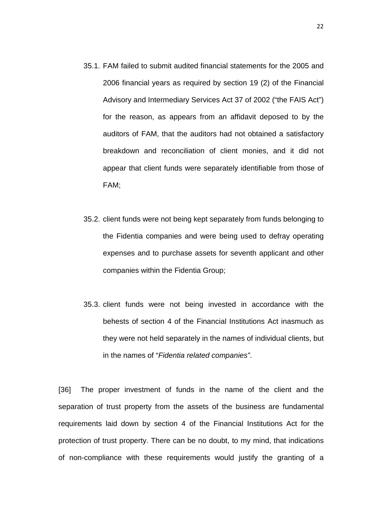- 35.1. FAM failed to submit audited financial statements for the 2005 and 2006 financial years as required by section 19 (2) of the Financial Advisory and Intermediary Services Act 37 of 2002 ("the FAIS Act") for the reason, as appears from an affidavit deposed to by the auditors of FAM, that the auditors had not obtained a satisfactory breakdown and reconciliation of client monies, and it did not appear that client funds were separately identifiable from those of FAM;
- 35.2. client funds were not being kept separately from funds belonging to the Fidentia companies and were being used to defray operating expenses and to purchase assets for seventh applicant and other companies within the Fidentia Group;
- 35.3. client funds were not being invested in accordance with the behests of section 4 of the Financial Institutions Act inasmuch as they were not held separately in the names of individual clients, but in the names of "Fidentia related companies".

[36] The proper investment of funds in the name of the client and the separation of trust property from the assets of the business are fundamental requirements laid down by section 4 of the Financial Institutions Act for the protection of trust property. There can be no doubt, to my mind, that indications of non-compliance with these requirements would justify the granting of a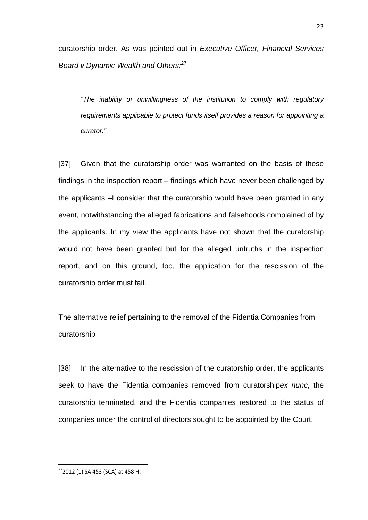curatorship order. As was pointed out in Executive Officer, Financial Services Board v Dynamic Wealth and Others.<sup>27</sup>

"The inability or unwillingness of the institution to comply with regulatory requirements applicable to protect funds itself provides a reason for appointing a curator."

[37] Given that the curatorship order was warranted on the basis of these findings in the inspection report – findings which have never been challenged by the applicants –I consider that the curatorship would have been granted in any event, notwithstanding the alleged fabrications and falsehoods complained of by the applicants. In my view the applicants have not shown that the curatorship would not have been granted but for the alleged untruths in the inspection report, and on this ground, too, the application for the rescission of the curatorship order must fail.

## The alternative relief pertaining to the removal of the Fidentia Companies from curatorship

[38] In the alternative to the rescission of the curatorship order, the applicants seek to have the Fidentia companies removed from curatorshipex nunc, the curatorship terminated, and the Fidentia companies restored to the status of companies under the control of directors sought to be appointed by the Court.

 $\overline{a}$ 

<sup>&</sup>lt;sup>27</sup>2012 (1) SA 453 (SCA) at 458 H.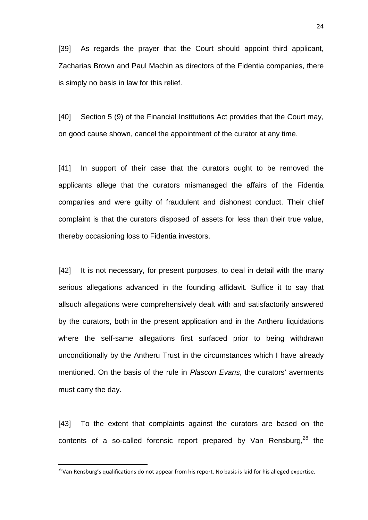[39] As regards the prayer that the Court should appoint third applicant, Zacharias Brown and Paul Machin as directors of the Fidentia companies, there is simply no basis in law for this relief.

[40] Section 5 (9) of the Financial Institutions Act provides that the Court may, on good cause shown, cancel the appointment of the curator at any time.

[41] In support of their case that the curators ought to be removed the applicants allege that the curators mismanaged the affairs of the Fidentia companies and were guilty of fraudulent and dishonest conduct. Their chief complaint is that the curators disposed of assets for less than their true value, thereby occasioning loss to Fidentia investors.

[42] It is not necessary, for present purposes, to deal in detail with the many serious allegations advanced in the founding affidavit. Suffice it to say that allsuch allegations were comprehensively dealt with and satisfactorily answered by the curators, both in the present application and in the Antheru liquidations where the self-same allegations first surfaced prior to being withdrawn unconditionally by the Antheru Trust in the circumstances which I have already mentioned. On the basis of the rule in *Plascon Evans*, the curators' averments must carry the day.

[43] To the extent that complaints against the curators are based on the contents of a so-called forensic report prepared by Van Rensburg. $^{28}$  the

 $\overline{a}$ 

<sup>&</sup>lt;sup>28</sup>Van Rensburg's qualifications do not appear from his report. No basis is laid for his alleged expertise.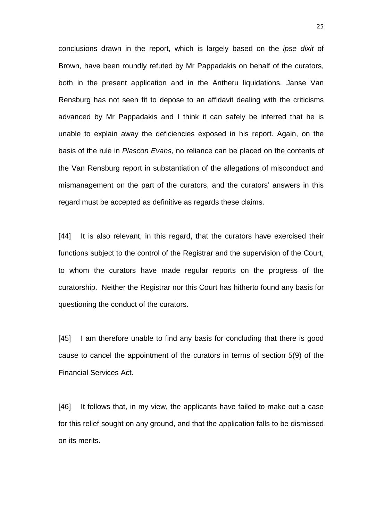conclusions drawn in the report, which is largely based on the ipse dixit of Brown, have been roundly refuted by Mr Pappadakis on behalf of the curators, both in the present application and in the Antheru liquidations. Janse Van Rensburg has not seen fit to depose to an affidavit dealing with the criticisms advanced by Mr Pappadakis and I think it can safely be inferred that he is unable to explain away the deficiencies exposed in his report. Again, on the basis of the rule in Plascon Evans, no reliance can be placed on the contents of the Van Rensburg report in substantiation of the allegations of misconduct and mismanagement on the part of the curators, and the curators' answers in this regard must be accepted as definitive as regards these claims.

[44] It is also relevant, in this regard, that the curators have exercised their functions subject to the control of the Registrar and the supervision of the Court, to whom the curators have made regular reports on the progress of the curatorship. Neither the Registrar nor this Court has hitherto found any basis for questioning the conduct of the curators.

[45] I am therefore unable to find any basis for concluding that there is good cause to cancel the appointment of the curators in terms of section 5(9) of the Financial Services Act.

[46] It follows that, in my view, the applicants have failed to make out a case for this relief sought on any ground, and that the application falls to be dismissed on its merits.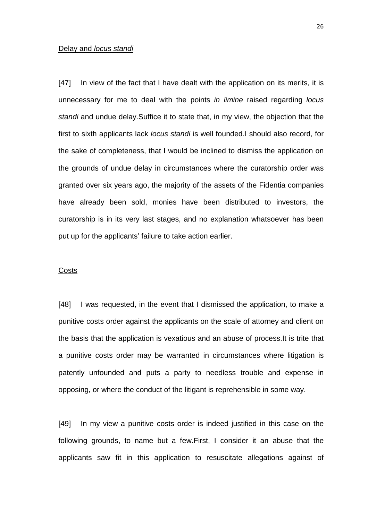#### Delay and *locus* standi

[47] In view of the fact that I have dealt with the application on its merits, it is unnecessary for me to deal with the points in limine raised regarding locus standi and undue delay.Suffice it to state that, in my view, the objection that the first to sixth applicants lack locus standi is well founded.I should also record, for the sake of completeness, that I would be inclined to dismiss the application on the grounds of undue delay in circumstances where the curatorship order was granted over six years ago, the majority of the assets of the Fidentia companies have already been sold, monies have been distributed to investors, the curatorship is in its very last stages, and no explanation whatsoever has been put up for the applicants' failure to take action earlier.

#### **Costs**

[48] I was requested, in the event that I dismissed the application, to make a punitive costs order against the applicants on the scale of attorney and client on the basis that the application is vexatious and an abuse of process.It is trite that a punitive costs order may be warranted in circumstances where litigation is patently unfounded and puts a party to needless trouble and expense in opposing, or where the conduct of the litigant is reprehensible in some way.

[49] In my view a punitive costs order is indeed justified in this case on the following grounds, to name but a few.First, I consider it an abuse that the applicants saw fit in this application to resuscitate allegations against of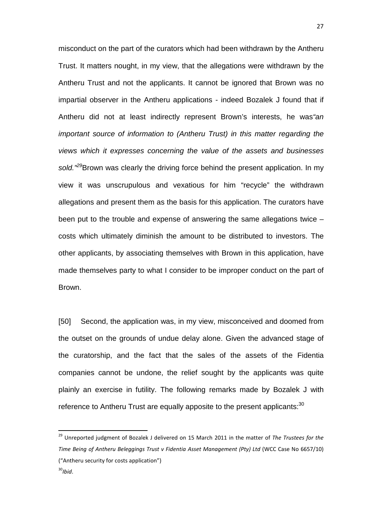misconduct on the part of the curators which had been withdrawn by the Antheru Trust. It matters nought, in my view, that the allegations were withdrawn by the Antheru Trust and not the applicants. It cannot be ignored that Brown was no impartial observer in the Antheru applications - indeed Bozalek J found that if Antheru did not at least indirectly represent Brown's interests, he was "an important source of information to (Antheru Trust) in this matter regarding the views which it expresses concerning the value of the assets and businesses sold.<sup>"29</sup>Brown was clearly the driving force behind the present application. In my view it was unscrupulous and vexatious for him "recycle" the withdrawn allegations and present them as the basis for this application. The curators have been put to the trouble and expense of answering the same allegations twice – costs which ultimately diminish the amount to be distributed to investors. The other applicants, by associating themselves with Brown in this application, have made themselves party to what I consider to be improper conduct on the part of Brown.

[50] Second, the application was, in my view, misconceived and doomed from the outset on the grounds of undue delay alone. Given the advanced stage of the curatorship, and the fact that the sales of the assets of the Fidentia companies cannot be undone, the relief sought by the applicants was quite plainly an exercise in futility. The following remarks made by Bozalek J with reference to Antheru Trust are equally apposite to the present applicants:<sup>30</sup>

<sup>29</sup> Unreported judgment of Bozalek J delivered on 15 March 2011 in the matter of *The Trustees for the Time Being of Antheru Beleggings Trust v Fidentia Asset Management (Pty) Ltd* (WCC Case No 6657/10) ("Antheru security for costs application") <sup>30</sup>*Ibid*.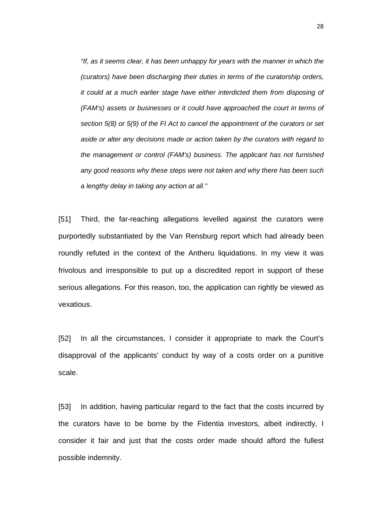"If, as it seems clear, it has been unhappy for years with the manner in which the (curators) have been discharging their duties in terms of the curatorship orders, it could at a much earlier stage have either interdicted them from disposing of (FAM's) assets or businesses or it could have approached the court in terms of section 5(8) or 5(9) of the FI Act to cancel the appointment of the curators or set aside or alter any decisions made or action taken by the curators with regard to the management or control (FAM's) business. The applicant has not furnished any good reasons why these steps were not taken and why there has been such a lengthy delay in taking any action at all."

[51] Third, the far-reaching allegations levelled against the curators were purportedly substantiated by the Van Rensburg report which had already been roundly refuted in the context of the Antheru liquidations. In my view it was frivolous and irresponsible to put up a discredited report in support of these serious allegations. For this reason, too, the application can rightly be viewed as vexatious.

[52] In all the circumstances, I consider it appropriate to mark the Court's disapproval of the applicants' conduct by way of a costs order on a punitive scale.

[53] In addition, having particular regard to the fact that the costs incurred by the curators have to be borne by the Fidentia investors, albeit indirectly, I consider it fair and just that the costs order made should afford the fullest possible indemnity.